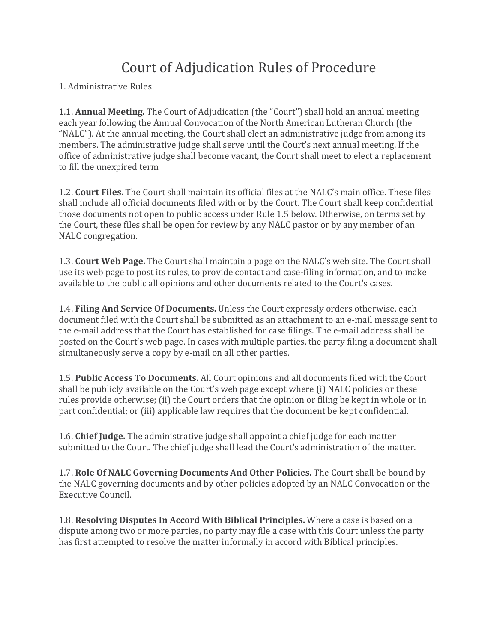## Court of Adjudication Rules of Procedure

## 1. Administrative Rules

**1.1. Annual Meeting.** The Court of Adjudication (the "Court") shall hold an annual meeting each year following the Annual Convocation of the North American Lutheran Church (the "NALC"). At the annual meeting, the Court shall elect an administrative judge from among its members. The administrative judge shall serve until the Court's next annual meeting. If the office of administrative judge shall become vacant, the Court shall meet to elect a replacement to fill the unexpired term

1.2. **Court Files.** The Court shall maintain its official files at the NALC's main office. These files shall include all official documents filed with or by the Court. The Court shall keep confidential those documents not open to public access under Rule 1.5 below. Otherwise, on terms set by the Court, these files shall be open for review by any NALC pastor or by any member of an NALC congregation.

1.3. **Court Web Page.** The Court shall maintain a page on the NALC's web site. The Court shall use its web page to post its rules, to provide contact and case-filing information, and to make available to the public all opinions and other documents related to the Court's cases.

1.4. **Filing And Service Of Documents.** Unless the Court expressly orders otherwise, each document filed with the Court shall be submitted as an attachment to an e-mail message sent to the e-mail address that the Court has established for case filings. The e-mail address shall be posted on the Court's web page. In cases with multiple parties, the party filing a document shall simultaneously serve a copy by e-mail on all other parties.

**1.5. Public Access To Documents.** All Court opinions and all documents filed with the Court shall be publicly available on the Court's web page except where (i) NALC policies or these rules provide otherwise; (ii) the Court orders that the opinion or filing be kept in whole or in part confidential; or (iii) applicable law requires that the document be kept confidential.

**1.6. Chief Judge.** The administrative judge shall appoint a chief judge for each matter submitted to the Court. The chief judge shall lead the Court's administration of the matter.

1.7. **Role Of NALC Governing Documents And Other Policies.** The Court shall be bound by the NALC governing documents and by other policies adopted by an NALC Convocation or the Executive Council.

**1.8. Resolving Disputes In Accord With Biblical Principles.** Where a case is based on a dispute among two or more parties, no party may file a case with this Court unless the party has first attempted to resolve the matter informally in accord with Biblical principles.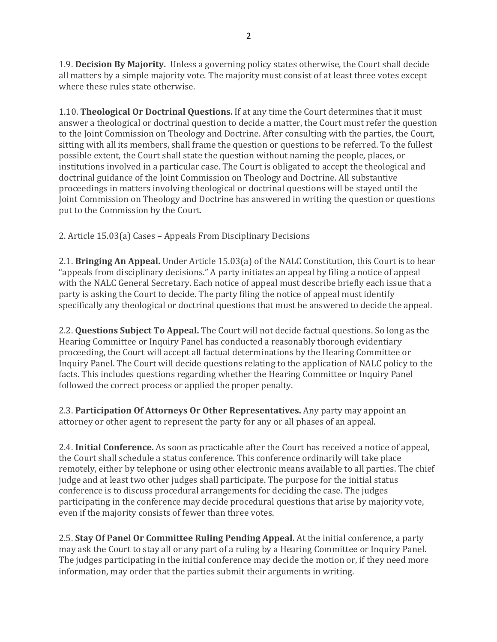1.9. **Decision By Majority.** Unless a governing policy states otherwise, the Court shall decide all matters by a simple majority vote. The majority must consist of at least three votes except where these rules state otherwise.

**1.10. Theological Or Doctrinal Questions.** If at any time the Court determines that it must answer a theological or doctrinal question to decide a matter, the Court must refer the question to the Joint Commission on Theology and Doctrine. After consulting with the parties, the Court, sitting with all its members, shall frame the question or questions to be referred. To the fullest possible extent, the Court shall state the question without naming the people, places, or institutions involved in a particular case. The Court is obligated to accept the theological and doctrinal guidance of the Joint Commission on Theology and Doctrine. All substantive proceedings in matters involving theological or doctrinal questions will be stayed until the Joint Commission on Theology and Doctrine has answered in writing the question or questions put to the Commission by the Court.

2. Article 15.03(a) Cases - Appeals From Disciplinary Decisions

2.1. **Bringing An Appeal.** Under Article 15.03(a) of the NALC Constitution, this Court is to hear "appeals from disciplinary decisions." A party initiates an appeal by filing a notice of appeal with the NALC General Secretary. Each notice of appeal must describe briefly each issue that a party is asking the Court to decide. The party filing the notice of appeal must identify specifically any theological or doctrinal questions that must be answered to decide the appeal.

2.2. **Questions Subject To Appeal.** The Court will not decide factual questions. So long as the Hearing Committee or Inquiry Panel has conducted a reasonably thorough evidentiary proceeding, the Court will accept all factual determinations by the Hearing Committee or Inquiry Panel. The Court will decide questions relating to the application of NALC policy to the facts. This includes questions regarding whether the Hearing Committee or Inquiry Panel followed the correct process or applied the proper penalty.

2.3. Participation Of Attorneys Or Other Representatives. Any party may appoint an attorney or other agent to represent the party for any or all phases of an appeal.

2.4. **Initial Conference.** As soon as practicable after the Court has received a notice of appeal, the Court shall schedule a status conference. This conference ordinarily will take place remotely, either by telephone or using other electronic means available to all parties. The chief judge and at least two other judges shall participate. The purpose for the initial status conference is to discuss procedural arrangements for deciding the case. The judges participating in the conference may decide procedural questions that arise by majority vote, even if the majority consists of fewer than three votes.

2.5. **Stay Of Panel Or Committee Ruling Pending Appeal.** At the initial conference, a party may ask the Court to stay all or any part of a ruling by a Hearing Committee or Inquiry Panel. The judges participating in the initial conference may decide the motion or, if they need more information, may order that the parties submit their arguments in writing.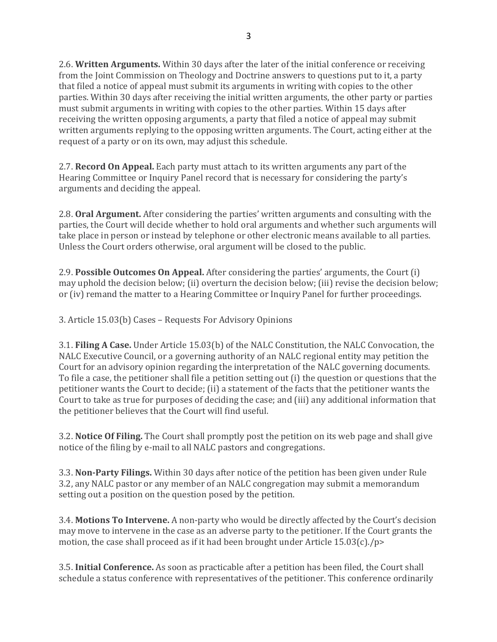2.6. **Written Arguments.** Within 30 days after the later of the initial conference or receiving from the Joint Commission on Theology and Doctrine answers to questions put to it, a party that filed a notice of appeal must submit its arguments in writing with copies to the other parties. Within 30 days after receiving the initial written arguments, the other party or parties must submit arguments in writing with copies to the other parties. Within 15 days after receiving the written opposing arguments, a party that filed a notice of appeal may submit written arguments replying to the opposing written arguments. The Court, acting either at the request of a party or on its own, may adjust this schedule.

2.7. **Record On Appeal.** Each party must attach to its written arguments any part of the Hearing Committee or Inquiry Panel record that is necessary for considering the party's arguments and deciding the appeal.

2.8. Oral Argument. After considering the parties' written arguments and consulting with the parties, the Court will decide whether to hold oral arguments and whether such arguments will take place in person or instead by telephone or other electronic means available to all parties. Unless the Court orders otherwise, oral argument will be closed to the public.

2.9. **Possible Outcomes On Appeal.** After considering the parties' arguments, the Court (i) may uphold the decision below; (ii) overturn the decision below; (iii) revise the decision below; or (iv) remand the matter to a Hearing Committee or Inquiry Panel for further proceedings.

3. Article 15.03(b) Cases - Requests For Advisory Opinions

**3.1. Filing A Case.** Under Article 15.03(b) of the NALC Constitution, the NALC Convocation, the NALC Executive Council, or a governing authority of an NALC regional entity may petition the Court for an advisory opinion regarding the interpretation of the NALC governing documents. To file a case, the petitioner shall file a petition setting out (i) the question or questions that the petitioner wants the Court to decide; (ii) a statement of the facts that the petitioner wants the Court to take as true for purposes of deciding the case; and (iii) any additional information that the petitioner believes that the Court will find useful.

3.2. **Notice Of Filing.** The Court shall promptly post the petition on its web page and shall give notice of the filing by e-mail to all NALC pastors and congregations.

3.3. **Non-Party Filings.** Within 30 days after notice of the petition has been given under Rule 3.2, any NALC pastor or any member of an NALC congregation may submit a memorandum setting out a position on the question posed by the petition.

3.4. **Motions To Intervene.** A non-party who would be directly affected by the Court's decision may move to intervene in the case as an adverse party to the petitioner. If the Court grants the motion, the case shall proceed as if it had been brought under Article  $15.03(c)$ ./p>

3.5. **Initial Conference.** As soon as practicable after a petition has been filed, the Court shall schedule a status conference with representatives of the petitioner. This conference ordinarily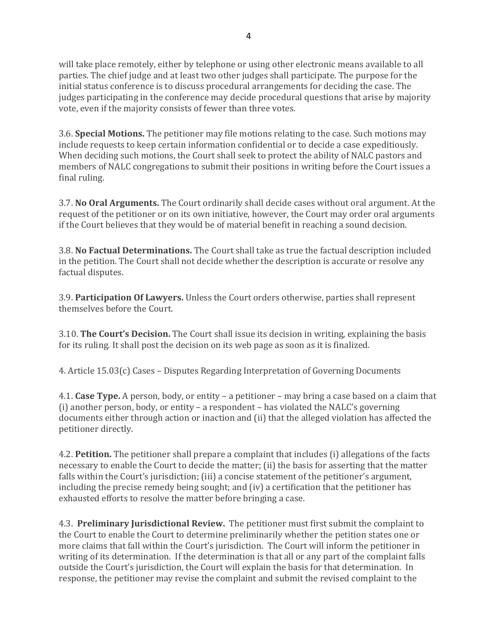will take place remotely, either by telephone or using other electronic means available to all parties. The chief judge and at least two other judges shall participate. The purpose for the initial status conference is to discuss procedural arrangements for deciding the case. The judges participating in the conference may decide procedural questions that arise by majority vote, even if the majority consists of fewer than three votes.

3.6. **Special Motions.** The petitioner may file motions relating to the case. Such motions may include requests to keep certain information confidential or to decide a case expeditiously. When deciding such motions, the Court shall seek to protect the ability of NALC pastors and members of NALC congregations to submit their positions in writing before the Court issues a final ruling.

**3.7. No Oral Arguments.** The Court ordinarily shall decide cases without oral argument. At the request of the petitioner or on its own initiative, however, the Court may order oral arguments if the Court believes that they would be of material benefit in reaching a sound decision.

3.8. No Factual Determinations. The Court shall take as true the factual description included in the petition. The Court shall not decide whether the description is accurate or resolve any factual disputes.

3.9. Participation Of Lawyers. Unless the Court orders otherwise, parties shall represent themselves before the Court.

3.10. The Court's Decision. The Court shall issue its decision in writing, explaining the basis for its ruling. It shall post the decision on its web page as soon as it is finalized.

4. Article  $15.03(c)$  Cases – Disputes Regarding Interpretation of Governing Documents

4.1. Case Type. A person, body, or entity - a petitioner - may bring a case based on a claim that (i) another person, body, or entity – a respondent – has violated the NALC's governing documents either through action or inaction and (ii) that the alleged violation has affected the petitioner directly.

4.2. **Petition.** The petitioner shall prepare a complaint that includes (i) allegations of the facts necessary to enable the Court to decide the matter; (ii) the basis for asserting that the matter falls within the Court's jurisdiction; (iii) a concise statement of the petitioner's argument, including the precise remedy being sought; and  $(iv)$  a certification that the petitioner has exhausted efforts to resolve the matter before bringing a case.

4.3. **Preliminary Jurisdictional Review.** The petitioner must first submit the complaint to the Court to enable the Court to determine preliminarily whether the petition states one or more claims that fall within the Court's jurisdiction. The Court will inform the petitioner in writing of its determination. If the determination is that all or any part of the complaint falls outside the Court's jurisdiction, the Court will explain the basis for that determination. In response, the petitioner may revise the complaint and submit the revised complaint to the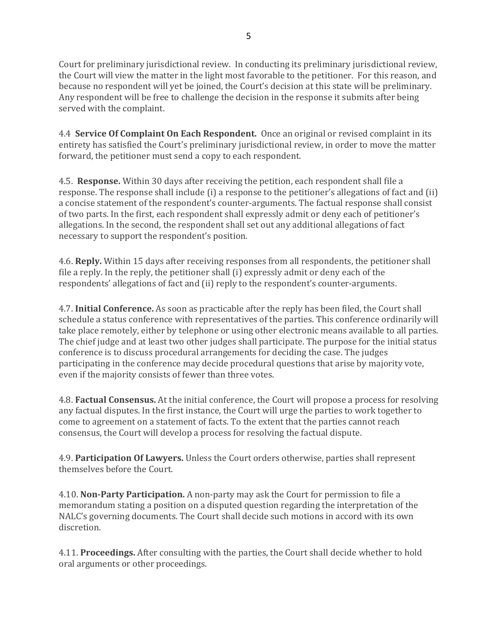5

Court for preliminary jurisdictional review. In conducting its preliminary jurisdictional review, the Court will view the matter in the light most favorable to the petitioner. For this reason, and because no respondent will yet be joined, the Court's decision at this state will be preliminary. Any respondent will be free to challenge the decision in the response it submits after being served with the complaint.

4.4 **Service Of Complaint On Each Respondent.** Once an original or revised complaint in its entirety has satisfied the Court's preliminary jurisdictional review, in order to move the matter forward, the petitioner must send a copy to each respondent.

4.5. **Response.** Within 30 days after receiving the petition, each respondent shall file a response. The response shall include (i) a response to the petitioner's allegations of fact and (ii) a concise statement of the respondent's counter-arguments. The factual response shall consist of two parts. In the first, each respondent shall expressly admit or deny each of petitioner's allegations. In the second, the respondent shall set out any additional allegations of fact necessary to support the respondent's position.

4.6. **Reply.** Within 15 days after receiving responses from all respondents, the petitioner shall file a reply. In the reply, the petitioner shall  $(i)$  expressly admit or deny each of the respondents' allegations of fact and (ii) reply to the respondent's counter-arguments.

4.7. **Initial Conference.** As soon as practicable after the reply has been filed, the Court shall schedule a status conference with representatives of the parties. This conference ordinarily will take place remotely, either by telephone or using other electronic means available to all parties. The chief judge and at least two other judges shall participate. The purpose for the initial status conference is to discuss procedural arrangements for deciding the case. The judges participating in the conference may decide procedural questions that arise by majority vote, even if the majority consists of fewer than three votes.

4.8. **Factual Consensus.** At the initial conference, the Court will propose a process for resolving any factual disputes. In the first instance, the Court will urge the parties to work together to come to agreement on a statement of facts. To the extent that the parties cannot reach consensus, the Court will develop a process for resolving the factual dispute.

4.9. **Participation Of Lawyers.** Unless the Court orders otherwise, parties shall represent themselves before the Court.

4.10. **Non-Party Participation.** A non-party may ask the Court for permission to file a memorandum stating a position on a disputed question regarding the interpretation of the NALC's governing documents. The Court shall decide such motions in accord with its own discretion.

4.11. Proceedings. After consulting with the parties, the Court shall decide whether to hold oral arguments or other proceedings.